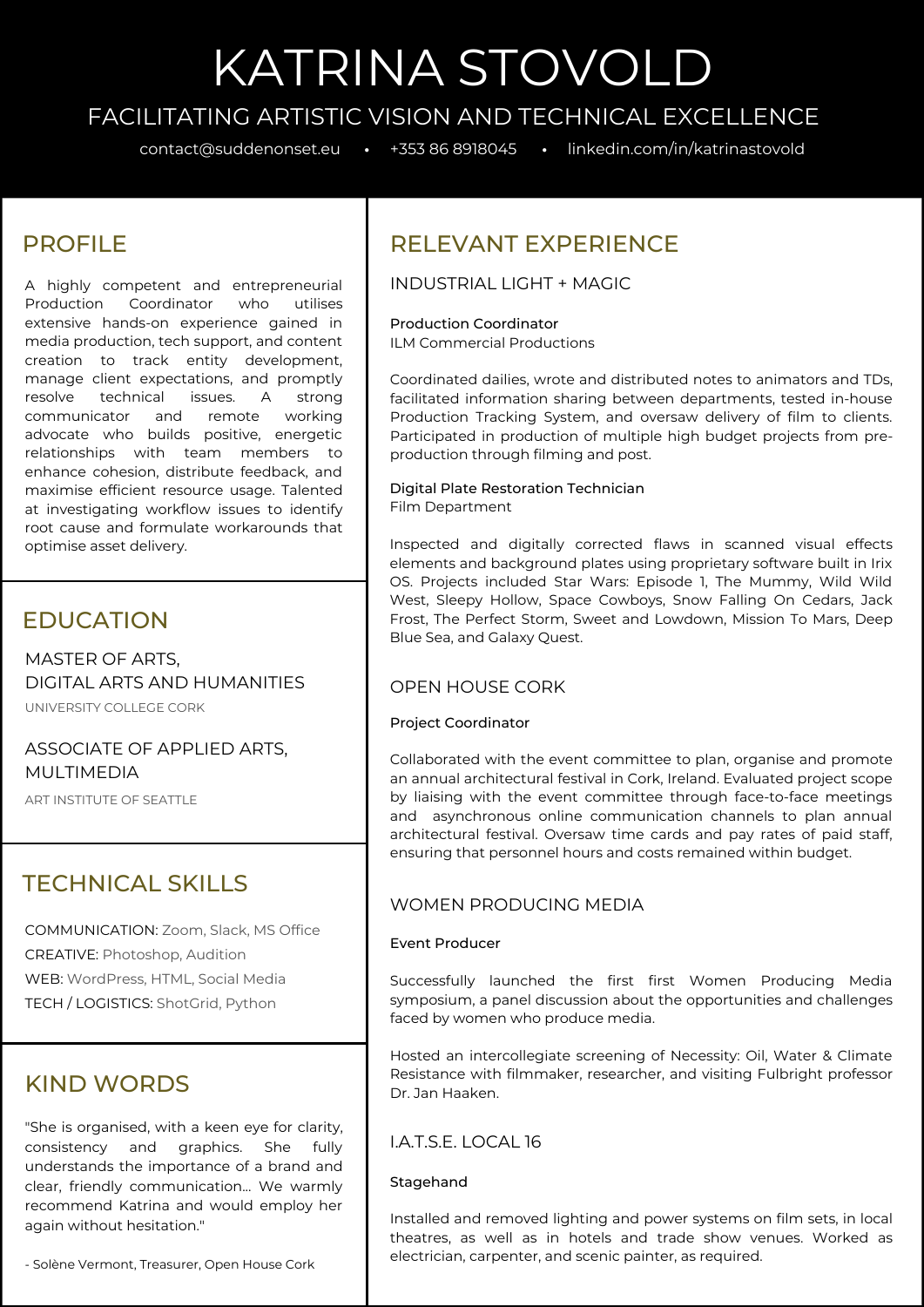# KATRINA STOVOLD

# FACILITATING ARTISTIC VISION AND TECHNICAL EXCELLENCE

contact@suddenonset.eu • +353 <sup>86</sup> <sup>8918045</sup> • linkedin.com/in/katrinastovold

# PROFILE

A highly competent and entrepreneurial Production Coordinator who utilises extensive hands-on experience gained in media production, tech support, and content creation to track entity development, manage client expectations, and promptly resolve technical issues. A strong communicator and remote working advocate who builds positive, energetic relationships with team members to enhance cohesion, distribute feedback, and maximise efficient resource usage. Talented at investigating workflow issues to identify root cause and formulate workarounds that optimise asset delivery.

## EDUCATION

MASTER OF ARTS, DIGITAL ARTS AND HUMANITIES

UNIVERSITY COLLEGE CORK

ASSOCIATE OF APPLIED ARTS, MULTIMEDIA

ART INSTITUTE OF SEATTLE

# TECHNICAL SKILLS

COMMUNICATION: Zoom, Slack, MS Office CREATIVE: Photoshop, Audition WEB: WordPress, HTML, Social Media TECH / LOGISTICS: ShotGrid, Python

## KIND WORDS

"She is organised, with a keen eye for clarity, consistency and graphics. She fully understands the importance of a brand and clear, friendly communication... We warmly recommend Katrina and would employ her again without hesitation."

- Solène Vermont, Treasurer, Open House Cork

# RELEVANT EXPERIENCE

INDUSTRIAL LIGHT + MAGIC

### Production Coordinator

ILM Commercial Productions

Coordinated dailies, wrote and distributed notes to animators and TDs, facilitated information sharing between departments, tested in-house Production Tracking System, and oversaw delivery of film to clients. Participated in production of multiple high budget projects from preproduction through filming and post.

#### Digital Plate Restoration Technician Film Department

Inspected and digitally corrected flaws in scanned visual effects elements and background plates using proprietary software built in Irix OS. Projects included Star Wars: Episode 1, The Mummy, Wild Wild West, Sleepy Hollow, Space Cowboys, Snow Falling On Cedars, Jack Frost, The Perfect Storm, Sweet and Lowdown, Mission To Mars, Deep Blue Sea, and Galaxy Quest.

## OPEN HOUSE CORK

#### Project Coordinator

Collaborated with the event committee to plan, organise and promote an annual architectural festival in Cork, Ireland. Evaluated project scope by liaising with the event committee through face-to-face meetings and asynchronous online communication channels to plan annual architectural festival. Oversaw time cards and pay rates of paid staff, ensuring that personnel hours and costs remained within budget.

## WOMEN PRODUCING MEDIA

#### Event Producer

Successfully launched the first first Women Producing Media symposium, a panel discussion about the opportunities and challenges faced by women who produce media.

Hosted an intercollegiate screening of Necessity: Oil, Water & Climate Resistance with filmmaker, researcher, and visiting Fulbright professor Dr. Jan Haaken.

## I.A.T.S.E. LOCAL 16

## Stagehand

Installed and removed lighting and power systems on film sets, in local theatres, as well as in hotels and trade show venues. Worked as electrician, carpenter, and scenic painter, as required.